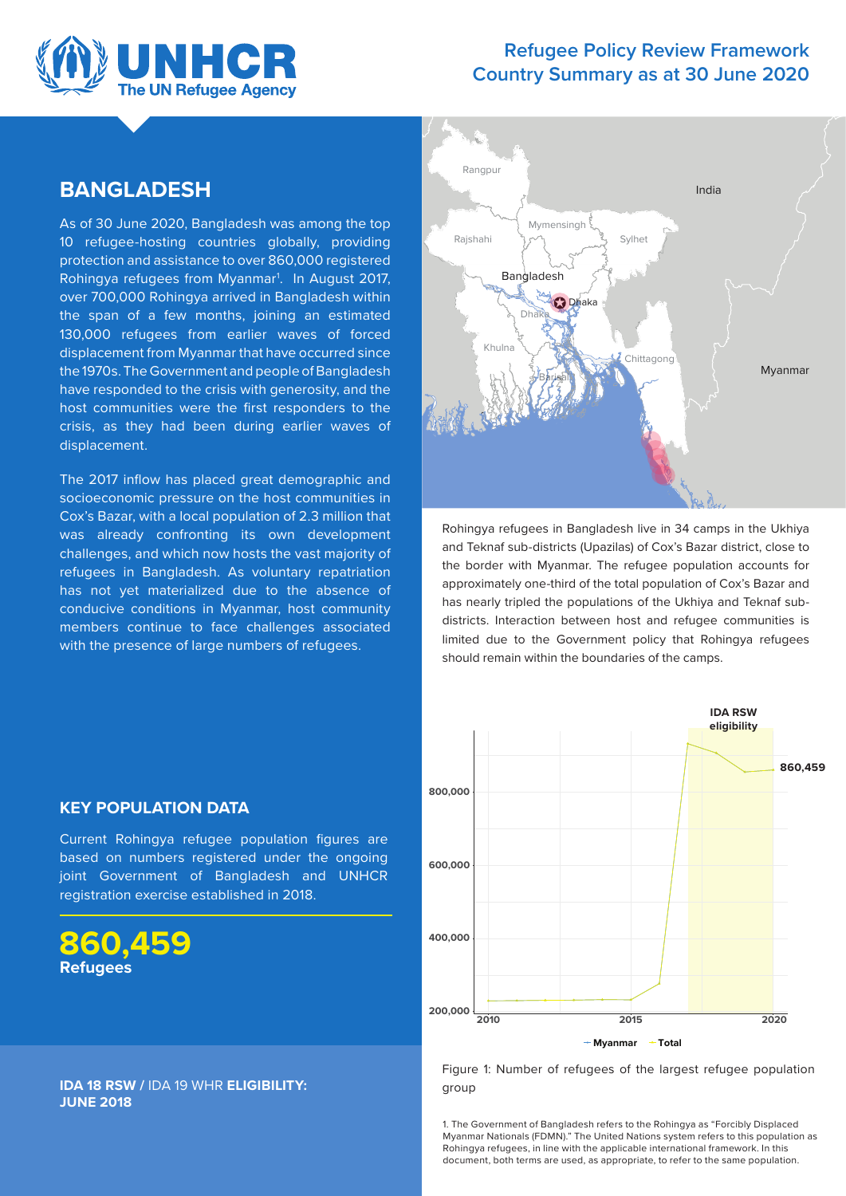

### **Refugee Policy Review Framework Country Summary as at 30 June 2020**

### **BANGLADESH**

As of 30 June 2020, Bangladesh was among the top 10 refugee-hosting countries globally, providing protection and assistance to over 860,000 registered Rohingya refugees from Myanmar1 . In August 2017, over 700,000 Rohingya arrived in Bangladesh within the span of a few months, joining an estimated 130,000 refugees from earlier waves of forced displacement from Myanmar that have occurred since the 1970s. The Government and people of Bangladesh have responded to the crisis with generosity, and the host communities were the first responders to the crisis, as they had been during earlier waves of displacement.

The 2017 inflow has placed great demographic and socioeconomic pressure on the host communities in Cox's Bazar, with a local population of 2.3 million that was already confronting its own development challenges, and which now hosts the vast majority of refugees in Bangladesh. As voluntary repatriation has not yet materialized due to the absence of conducive conditions in Myanmar, host community members continue to face challenges associated with the presence of large numbers of refugees.



Rohingya refugees in Bangladesh live in 34 camps in the Ukhiya and Teknaf sub-districts (Upazilas) of Cox's Bazar district, close to the border with Myanmar. The refugee population accounts for approximately one-third of the total population of Cox's Bazar and has nearly tripled the populations of the Ukhiya and Teknaf subdistricts. Interaction between host and refugee communities is limited due to the Government policy that Rohingya refugees should remain within the boundaries of the camps.



### **KEY POPULATION DATA**

Current Rohingya refugee population figures are based on numbers registered under the ongoing joint Government of Bangladesh and UNHCR registration exercise established in 2018.

**860,459 Refugees** 

#### Figure 1: Number of refugees of the largest refugee population group

1. The Government of Bangladesh refers to the Rohingya as "Forcibly Displaced Myanmar Nationals (FDMN)." The United Nations system refers to this population as Rohingya refugees, in line with the applicable international framework. In this document, both terms are used, as appropriate, to refer to the same population.

**IDA 18 RSW /** IDA 19 WHR **ELIGIBILITY: JUNE 2018**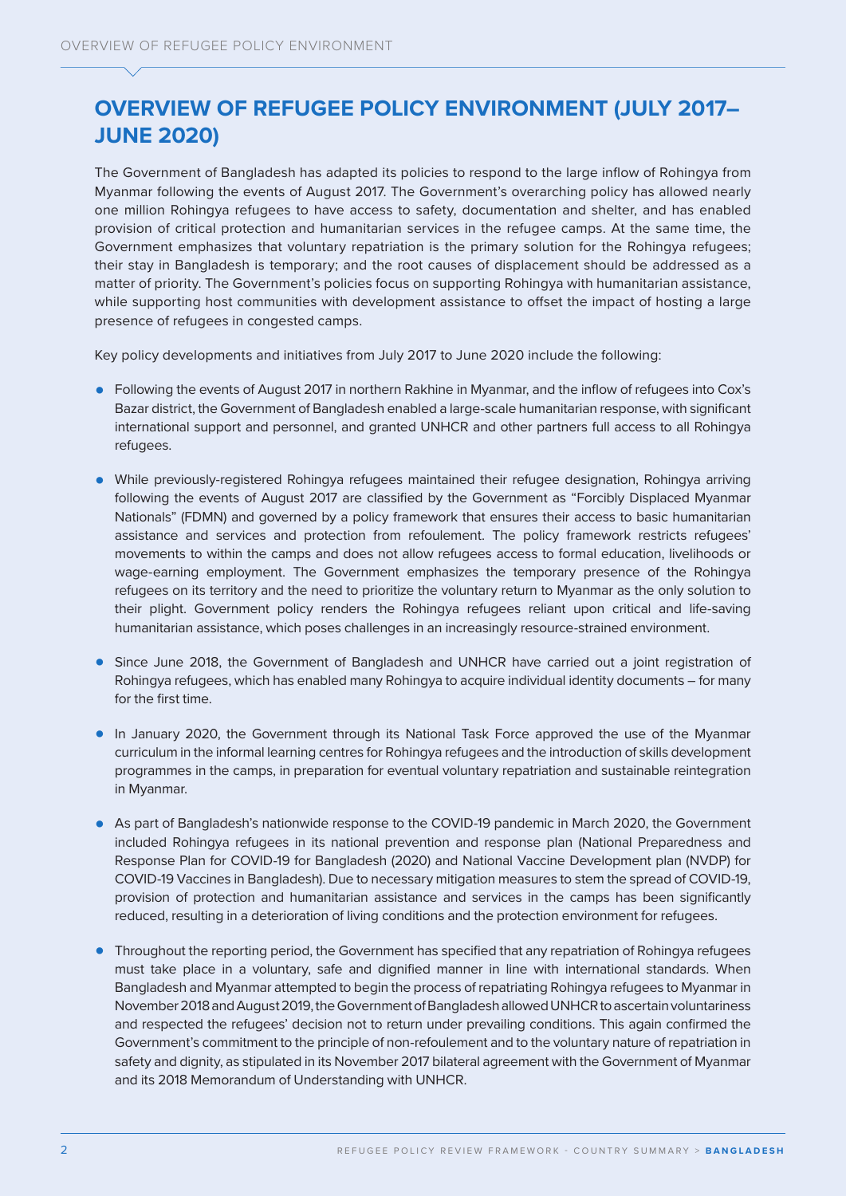# **OVERVIEW OF REFUGEE POLICY ENVIRONMENT (JULY 2017– JUNE 2020)**

The Government of Bangladesh has adapted its policies to respond to the large inflow of Rohingya from Myanmar following the events of August 2017. The Government's overarching policy has allowed nearly one million Rohingya refugees to have access to safety, documentation and shelter, and has enabled provision of critical protection and humanitarian services in the refugee camps. At the same time, the Government emphasizes that voluntary repatriation is the primary solution for the Rohingya refugees; their stay in Bangladesh is temporary; and the root causes of displacement should be addressed as a matter of priority. The Government's policies focus on supporting Rohingya with humanitarian assistance, while supporting host communities with development assistance to offset the impact of hosting a large presence of refugees in congested camps.

Key policy developments and initiatives from July 2017 to June 2020 include the following:

- **•** Following the events of August 2017 in northern Rakhine in Myanmar, and the inflow of refugees into Cox's Bazar district, the Government of Bangladesh enabled a large-scale humanitarian response, with significant international support and personnel, and granted UNHCR and other partners full access to all Rohingya refugees.
- While previously-registered Rohingya refugees maintained their refugee designation, Rohingya arriving following the events of August 2017 are classified by the Government as "Forcibly Displaced Myanmar Nationals" (FDMN) and governed by a policy framework that ensures their access to basic humanitarian assistance and services and protection from refoulement. The policy framework restricts refugees' movements to within the camps and does not allow refugees access to formal education, livelihoods or wage-earning employment. The Government emphasizes the temporary presence of the Rohingya refugees on its territory and the need to prioritize the voluntary return to Myanmar as the only solution to their plight. Government policy renders the Rohingya refugees reliant upon critical and life-saving humanitarian assistance, which poses challenges in an increasingly resource-strained environment.
- **•** Since June 2018, the Government of Bangladesh and UNHCR have carried out a joint registration of Rohingya refugees, which has enabled many Rohingya to acquire individual identity documents – for many for the first time.
- In January 2020, the Government through its National Task Force approved the use of the Myanmar curriculum in the informal learning centres for Rohingya refugees and the introduction of skills development programmes in the camps, in preparation for eventual voluntary repatriation and sustainable reintegration in Myanmar.
- **•** As part of Bangladesh's nationwide response to the COVID-19 pandemic in March 2020, the Government included Rohingya refugees in its national prevention and response plan (National Preparedness and Response Plan for COVID-19 for Bangladesh (2020) and National Vaccine Development plan (NVDP) for COVID-19 Vaccines in Bangladesh). Due to necessary mitigation measures to stem the spread of COVID-19, provision of protection and humanitarian assistance and services in the camps has been significantly reduced, resulting in a deterioration of living conditions and the protection environment for refugees.
- **•** Throughout the reporting period, the Government has specified that any repatriation of Rohingya refugees must take place in a voluntary, safe and dignified manner in line with international standards. When Bangladesh and Myanmar attempted to begin the process of repatriating Rohingya refugees to Myanmar in November 2018 and August 2019, the Government of Bangladesh allowed UNHCR to ascertain voluntariness and respected the refugees' decision not to return under prevailing conditions. This again confirmed the Government's commitment to the principle of non-refoulement and to the voluntary nature of repatriation in safety and dignity, as stipulated in its November 2017 bilateral agreement with the Government of Myanmar and its 2018 Memorandum of Understanding with UNHCR.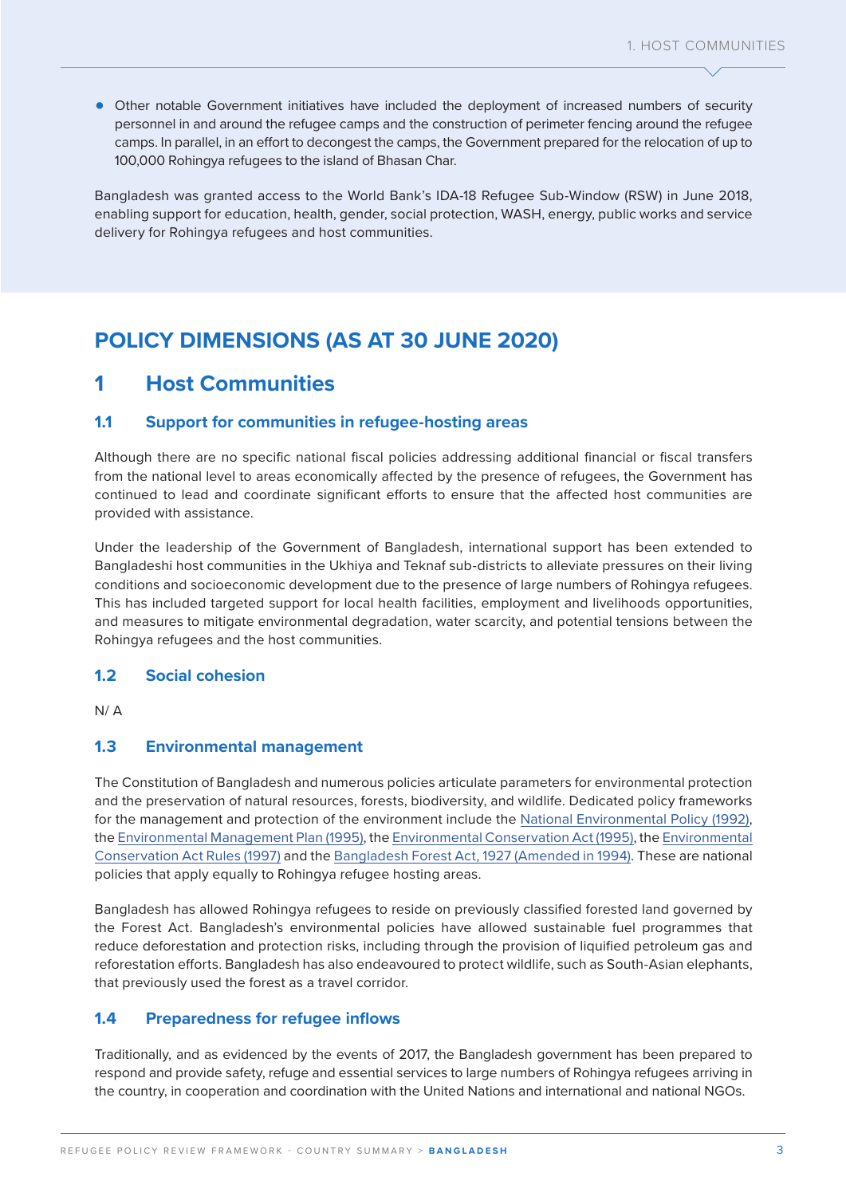**•** Other notable Government initiatives have included the deployment of increased numbers of security personnel in and around the refugee camps and the construction of perimeter fencing around the refugee camps. In parallel, in an effort to decongest the camps, the Government prepared for the relocation of up to 100,000 Rohingya refugees to the island of Bhasan Char.

Bangladesh was granted access to the World Bank's IDA-18 Refugee Sub-Window (RSW) in June 2018, enabling support for education, health, gender, social protection, WASH, energy, public works and service delivery for Rohingya refugees and host communities.

## **POLICY DIMENSIONS (AS AT 30 JUNE 2020)**

### **1 Host Communities**

#### **1.1 Support for communities in refugee-hosting areas**

Although there are no specific national fiscal policies addressing additional financial or fiscal transfers from the national level to areas economically affected by the presence of refugees, the Government has continued to lead and coordinate significant efforts to ensure that the affected host communities are provided with assistance.

Under the leadership of the Government of Bangladesh, international support has been extended to Bangladeshi host communities in the Ukhiya and Teknaf sub-districts to alleviate pressures on their living conditions and socioeconomic development due to the presence of large numbers of Rohingya refugees. This has included targeted support for local health facilities, employment and livelihoods opportunities, and measures to mitigate environmental degradation, water scarcity, and potential tensions between the Rohingya refugees and the host communities.

#### **1.2 Social cohesion**

 $N / \Delta$ 

#### **1.3 Environmental management**

The Constitution of Bangladesh and numerous policies articulate parameters for environmental protection and the preservation of natural resources, forests, biodiversity, and wildlife. Dedicated policy frameworks for the management and protection of the environment include the [National Environmental Policy \(1992\)](http://nda.erd.gov.bd/files/1/Publications/Sectoral%20Policies%20and%20Plans/Environment%20Policy,%201992.pdf), the [Environmental Management Plan \(1995\),](http://documents1.worldbank.org/curated/en/329001468741610744/pdf/multi-page.pdf) the [Environmental Conservation Act \(1995\),](http://bdlaws.minlaw.gov.bd/act-details-791.html?lang=en) the [Environmental](https://www.elaw.org/system/files/Bangladesh+--+Environmental+Conservation+Rules,+1997.pdf)  [Conservation Act Rules \(1997\)](https://www.elaw.org/system/files/Bangladesh+--+Environmental+Conservation+Rules,+1997.pdf) and the [Bangladesh Forest Act, 1927 \(Amended in 1994\)](http://bdlaws.minlaw.gov.bd/act-details-144.html). These are national policies that apply equally to Rohingya refugee hosting areas.

Bangladesh has allowed Rohingya refugees to reside on previously classified forested land governed by the Forest Act. Bangladesh's environmental policies have allowed sustainable fuel programmes that reduce deforestation and protection risks, including through the provision of liquified petroleum gas and reforestation efforts. Bangladesh has also endeavoured to protect wildlife, such as South-Asian elephants, that previously used the forest as a travel corridor.

#### **1.4 Preparedness for refugee inflows**

Traditionally, and as evidenced by the events of 2017, the Bangladesh government has been prepared to respond and provide safety, refuge and essential services to large numbers of Rohingya refugees arriving in the country, in cooperation and coordination with the United Nations and international and national NGOs.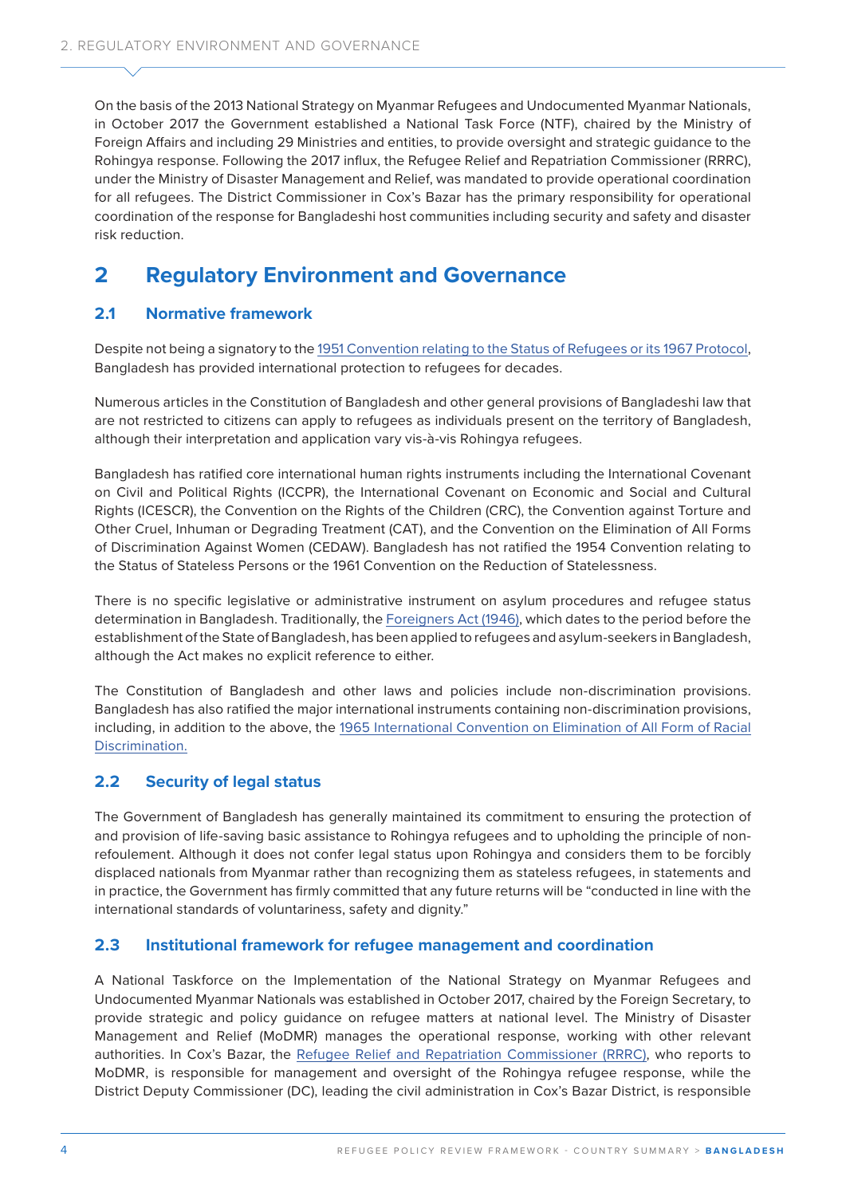On the basis of the 2013 National Strategy on Myanmar Refugees and Undocumented Myanmar Nationals, in October 2017 the Government established a National Task Force (NTF), chaired by the Ministry of Foreign Affairs and including 29 Ministries and entities, to provide oversight and strategic guidance to the Rohingya response. Following the 2017 influx, the Refugee Relief and Repatriation Commissioner (RRRC), under the Ministry of Disaster Management and Relief, was mandated to provide operational coordination for all refugees. The District Commissioner in Cox's Bazar has the primary responsibility for operational coordination of the response for Bangladeshi host communities including security and safety and disaster risk reduction.

## **2 Regulatory Environment and Governance**

#### **2.1 Normative framework**

Despite not being a signatory to the [1951 Convention relating to the Status of Refugees or its 1967 Protocol](https://www.unhcr.org/1951-refugee-convention.html), Bangladesh has provided international protection to refugees for decades.

Numerous articles in the Constitution of Bangladesh and other general provisions of Bangladeshi law that are not restricted to citizens can apply to refugees as individuals present on the territory of Bangladesh, although their interpretation and application vary vis-à-vis Rohingya refugees.

Bangladesh has ratified core international human rights instruments including the International Covenant on Civil and Political Rights (ICCPR), the International Covenant on Economic and Social and Cultural Rights (ICESCR), the Convention on the Rights of the Children (CRC), the Convention against Torture and Other Cruel, Inhuman or Degrading Treatment (CAT), and the Convention on the Elimination of All Forms of Discrimination Against Women (CEDAW). Bangladesh has not ratified the 1954 Convention relating to the Status of Stateless Persons or the 1961 Convention on the Reduction of Statelessness.

There is no specific legislative or administrative instrument on asylum procedures and refugee status determination in Bangladesh. Traditionally, the [Foreigners Act \(1946\)](http://bdlaws.minlaw.gov.bd/act-details-216.html), which dates to the period before the establishment of the State of Bangladesh, has been applied to refugees and asylum-seekers in Bangladesh, although the Act makes no explicit reference to either.

The Constitution of Bangladesh and other laws and policies include non-discrimination provisions. Bangladesh has also ratified the major international instruments containing non-discrimination provisions, including, in addition to the above, the [1965 International Convention on Elimination of All Form of Racial](https://www.ohchr.org/en/professionalinterest/pages/cerd.aspx)  [Discrimination.](https://www.ohchr.org/en/professionalinterest/pages/cerd.aspx)

### **2.2 Security of legal status**

The Government of Bangladesh has generally maintained its commitment to ensuring the protection of and provision of life-saving basic assistance to Rohingya refugees and to upholding the principle of nonrefoulement. Although it does not confer legal status upon Rohingya and considers them to be forcibly displaced nationals from Myanmar rather than recognizing them as stateless refugees, in statements and in practice, the Government has firmly committed that any future returns will be "conducted in line with the international standards of voluntariness, safety and dignity."

#### **2.3 Institutional framework for refugee management and coordination**

A National Taskforce on the Implementation of the National Strategy on Myanmar Refugees and Undocumented Myanmar Nationals was established in October 2017, chaired by the Foreign Secretary, to provide strategic and policy guidance on refugee matters at national level. The Ministry of Disaster Management and Relief (MoDMR) manages the operational response, working with other relevant authorities. In Cox's Bazar, the [Refugee Relief and Repatriation Commissioner \(RRRC\),](http://rrrc.gov.bd/) who reports to MoDMR, is responsible for management and oversight of the Rohingya refugee response, while the District Deputy Commissioner (DC), leading the civil administration in Cox's Bazar District, is responsible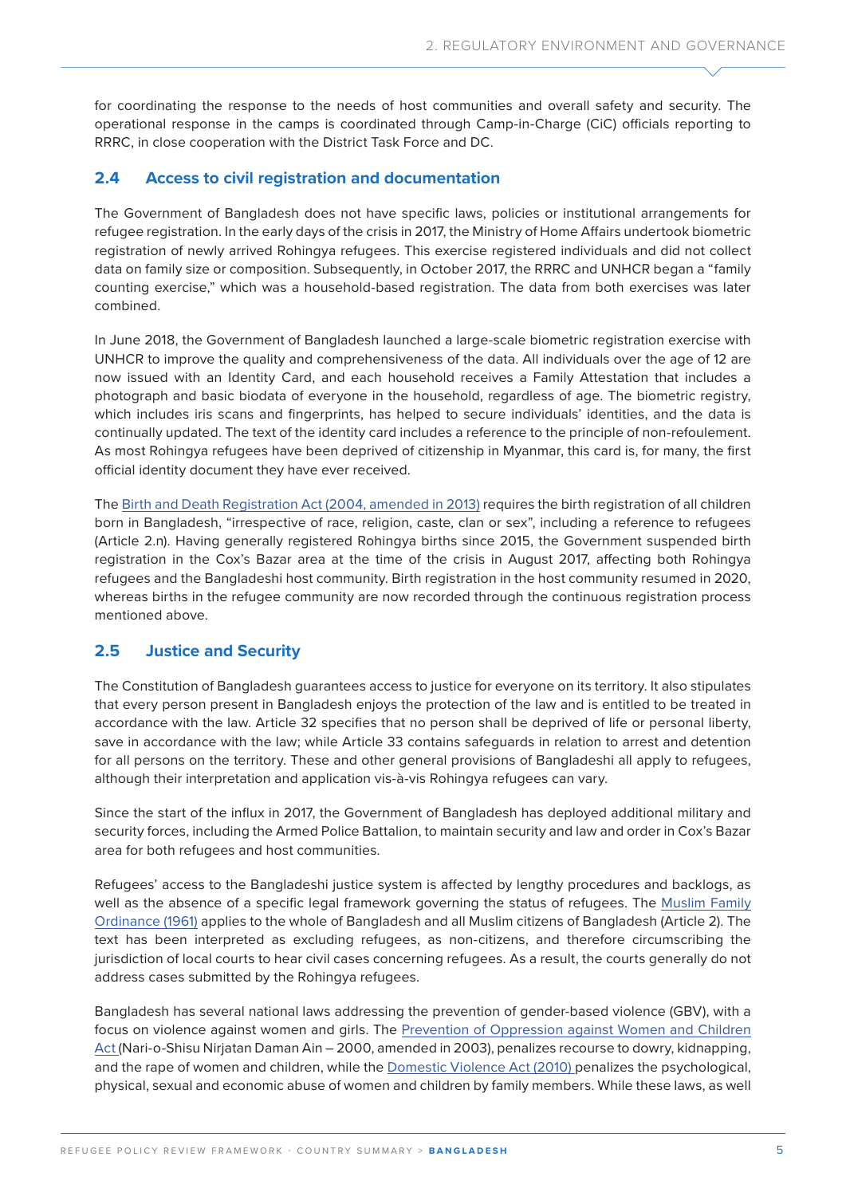for coordinating the response to the needs of host communities and overall safety and security. The operational response in the camps is coordinated through Camp-in-Charge (CiC) officials reporting to RRRC, in close cooperation with the District Task Force and DC.

#### **2.4 Access to civil registration and documentation**

The Government of Bangladesh does not have specific laws, policies or institutional arrangements for refugee registration. In the early days of the crisis in 2017, the Ministry of Home Affairs undertook biometric registration of newly arrived Rohingya refugees. This exercise registered individuals and did not collect data on family size or composition. Subsequently, in October 2017, the RRRC and UNHCR began a "family counting exercise," which was a household-based registration. The data from both exercises was later combined.

In June 2018, the Government of Bangladesh launched a large-scale biometric registration exercise with UNHCR to improve the quality and comprehensiveness of the data. All individuals over the age of 12 are now issued with an Identity Card, and each household receives a Family Attestation that includes a photograph and basic biodata of everyone in the household, regardless of age. The biometric registry, which includes iris scans and fingerprints, has helped to secure individuals' identities, and the data is continually updated. The text of the identity card includes a reference to the principle of non-refoulement. As most Rohingya refugees have been deprived of citizenship in Myanmar, this card is, for many, the first official identity document they have ever received.

The [Birth and Death Registration Act \(2004, amended in 2013\)](https://www.refworld.org/docid/511b54192.html) requires the birth registration of all children born in Bangladesh, "irrespective of race, religion, caste, clan or sex", including a reference to refugees (Article 2.n). Having generally registered Rohingya births since 2015, the Government suspended birth registration in the Cox's Bazar area at the time of the crisis in August 2017, affecting both Rohingya refugees and the Bangladeshi host community. Birth registration in the host community resumed in 2020, whereas births in the refugee community are now recorded through the continuous registration process mentioned above.

#### **2.5 Justice and Security**

The Constitution of Bangladesh guarantees access to justice for everyone on its territory. It also stipulates that every person present in Bangladesh enjoys the protection of the law and is entitled to be treated in accordance with the law. Article 32 specifies that no person shall be deprived of life or personal liberty, save in accordance with the law; while Article 33 contains safeguards in relation to arrest and detention for all persons on the territory. These and other general provisions of Bangladeshi all apply to refugees, although their interpretation and application vis-à-vis Rohingya refugees can vary.

Since the start of the influx in 2017, the Government of Bangladesh has deployed additional military and security forces, including the Armed Police Battalion, to maintain security and law and order in Cox's Bazar area for both refugees and host communities.

Refugees' access to the Bangladeshi justice system is affected by lengthy procedures and backlogs, as well as the absence of a specific legal framework governing the status of refugees. The [Muslim Family](http://bdlaws.minlaw.gov.bd/act-305.html)  [Ordinance \(1961\)](http://bdlaws.minlaw.gov.bd/act-305.html) applies to the whole of Bangladesh and all Muslim citizens of Bangladesh (Article 2). The text has been interpreted as excluding refugees, as non-citizens, and therefore circumscribing the jurisdiction of local courts to hear civil cases concerning refugees. As a result, the courts generally do not address cases submitted by the Rohingya refugees.

Bangladesh has several national laws addressing the prevention of gender-based violence (GBV), with a focus on violence against women and girls. The [Prevention of Oppression against Women and Children](https://www.ilo.org/dyn/natlex/natlex4.detail?p_lang=en&p_isn=110524&p_count=2&p_classification=05)  [Act \(Nari-o-Shisu Nirjatan Daman Ain –](https://www.ilo.org/dyn/natlex/natlex4.detail?p_lang=en&p_isn=110524&p_count=2&p_classification=05) 2000, amended in 2003), penalizes recourse to dowry, kidnapping, and the rape of women and children, while the [Domestic Violence Act \(2010\)](http://bdlaws.minlaw.gov.bd/bangla_all_sections.php?id=1063) penalizes the psychological, physical, sexual and economic abuse of women and children by family members. While these laws, as well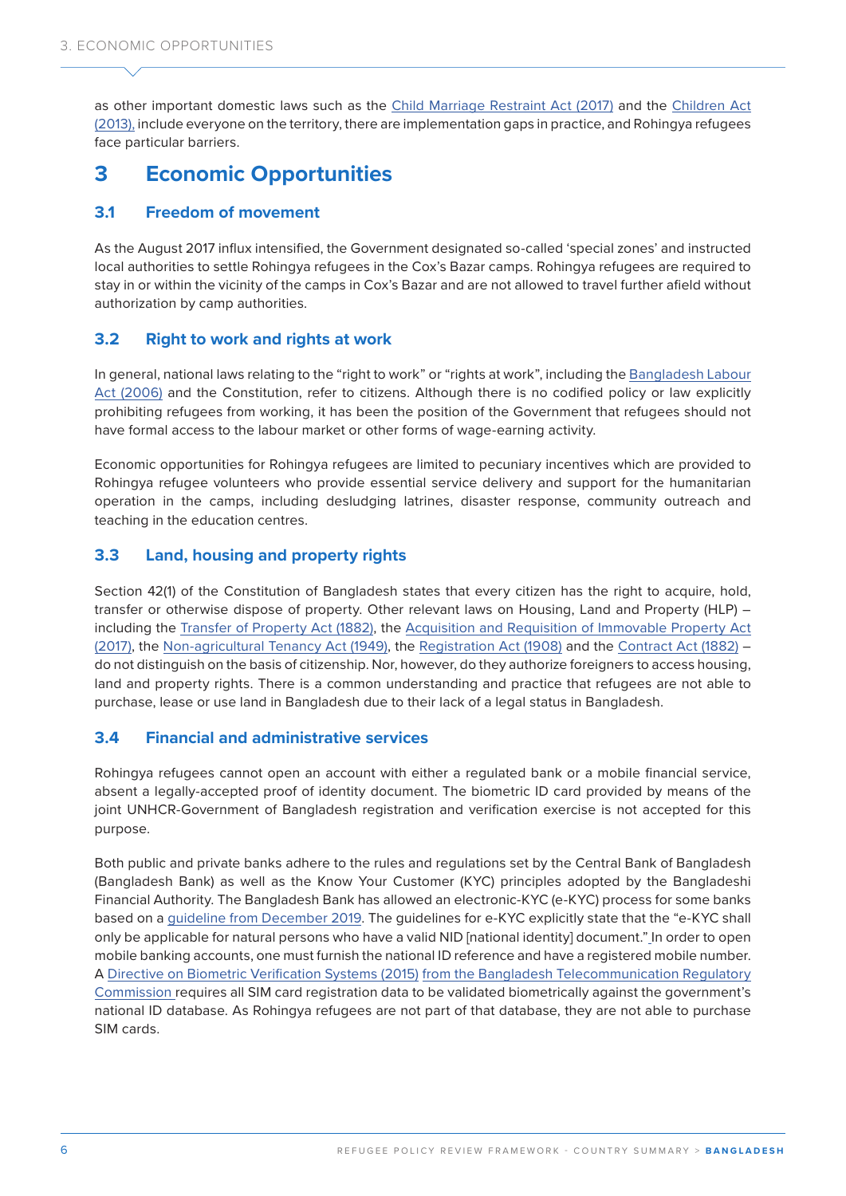as other important domestic laws such as the [Child Marriage Restraint Act \(2017\)](https://www.unicef.org/bangladesh/sites/unicef.org.bangladesh/files/2018-10/Child%20Marriage%20Restraint%20Act%202017%20English.pdf) and the [Children Act](https://www.refworld.org/docid/542e5df54.html)  [\(2013\),](https://www.refworld.org/docid/542e5df54.html) include everyone on the territory, there are implementation gaps in practice, and Rohingya refugees face particular barriers.

## **3 Economic Opportunities**

#### **3.1 Freedom of movement**

As the August 2017 influx intensified, the Government designated so-called 'special zones' and instructed local authorities to settle Rohingya refugees in the Cox's Bazar camps. Rohingya refugees are required to stay in or within the vicinity of the camps in Cox's Bazar and are not allowed to travel further afield without authorization by camp authorities.

#### **3.2 Right to work and rights at work**

In general, national laws relating to the "right to work" or "rights at work", including the [Bangladesh Labour](https://www.dpp.gov.bd/upload_file/gazettes/14212_75510.pdf)  [Act \(2006\)](https://www.dpp.gov.bd/upload_file/gazettes/14212_75510.pdf) and the Constitution, refer to citizens. Although there is no codified policy or law explicitly prohibiting refugees from working, it has been the position of the Government that refugees should not have formal access to the labour market or other forms of wage-earning activity.

Economic opportunities for Rohingya refugees are limited to pecuniary incentives which are provided to Rohingya refugee volunteers who provide essential service delivery and support for the humanitarian operation in the camps, including desludging latrines, disaster response, community outreach and teaching in the education centres.

#### **3.3 Land, housing and property rights**

Section 42(1) of the Constitution of Bangladesh states that every citizen has the right to acquire, hold, transfer or otherwise dispose of property. Other relevant laws on Housing, Land and Property (HLP) – including the [Transfer of Property Act \(1882\),](http://bdlaws.minlaw.gov.bd/act-details-48.html) the [Acquisition and Requisition of Immovable Property Act](http://bdlaws.minlaw.gov.bd/act-details-1220.html)  [\(2017\),](http://bdlaws.minlaw.gov.bd/act-details-1220.html) the [Non-agricultural Tenancy Act \(1949\),](http://bdlaws.minlaw.gov.bd/act-details-232.html) the [Registration Act \(1908\)](http://bdlaws.minlaw.gov.bd/act-details-90.html) and the [Contract Act \(1882\)](http://bdlaws.minlaw.gov.bd/act-details-26.html) – do not distinguish on the basis of citizenship. Nor, however, do they authorize foreigners to access housing, land and property rights. There is a common understanding and practice that refugees are not able to purchase, lease or use land in Bangladesh due to their lack of a legal status in Bangladesh.

#### **3.4 Financial and administrative services**

Rohingya refugees cannot open an account with either a regulated bank or a mobile financial service, absent a legally-accepted proof of identity document. The biometric ID card provided by means of the joint UNHCR-Government of Bangladesh registration and verification exercise is not accepted for this purpose.

Both public and private banks adhere to the rules and regulations set by the Central Bank of Bangladesh (Bangladesh Bank) as well as the Know Your Customer (KYC) principles adopted by the Bangladeshi Financial Authority. The Bangladesh Bank has allowed an electronic-KYC (e-KYC) process for some banks based on a [guideline from December 2019](https://www.bb.org.bd/mediaroom/circulars/aml/jan082020bfiu25.pdf). The guidelines for e-KYC explicitly state that the "e-KYC shall only be applicable for natural persons who have a valid NID [national identity] document." In order to open mobile banking accounts, one must furnish the national ID reference and have a registered mobile number. A [Directive on Biometric Verification Systems \(2015\)](http://www.btrc.gov.bd/sites/default/files/Directives%20on%20Biometric%20Verification%20System.pdf) from the Bangladesh Telecommunication Regulatory Commission requires all SIM card registration data to be validated biometrically against the government's national ID database. As Rohingya refugees are not part of that database, they are not able to purchase SIM cards.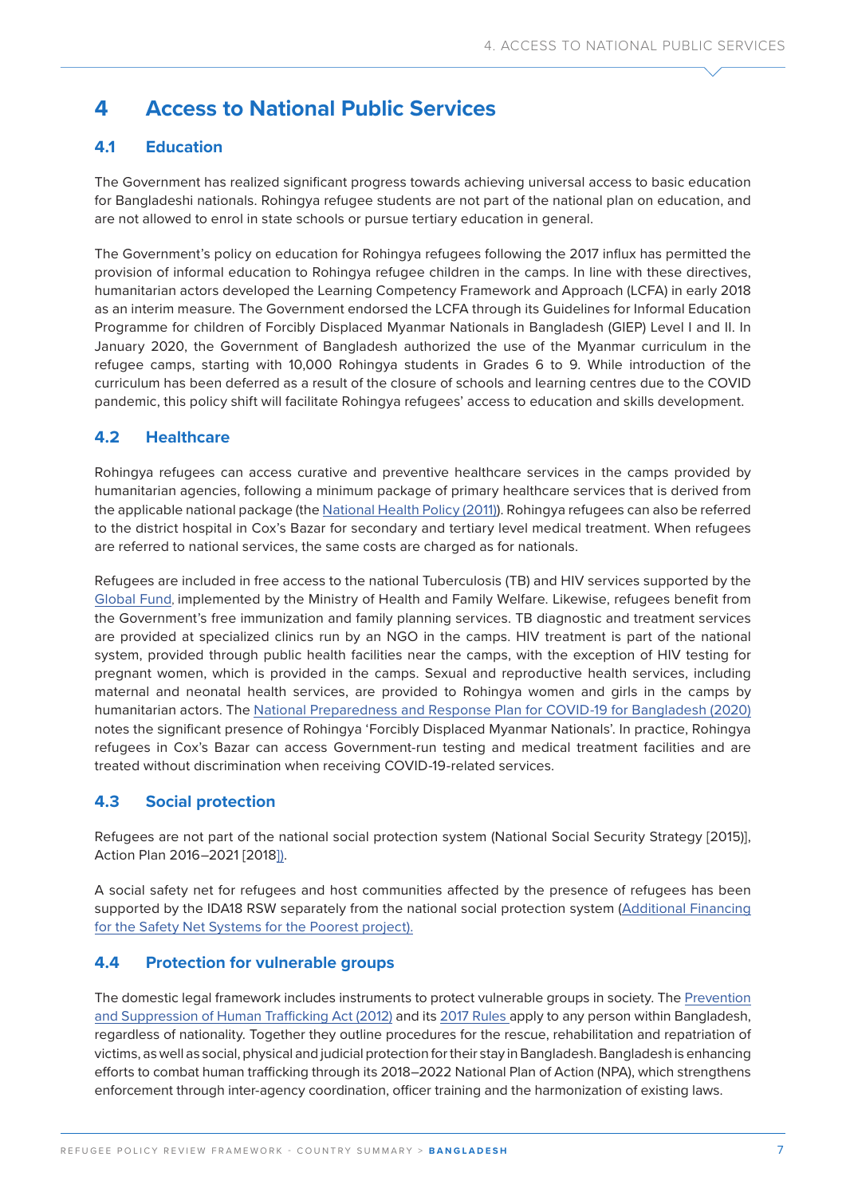## **4 Access to National Public Services**

### **4.1 Education**

The Government has realized significant progress towards achieving universal access to basic education for Bangladeshi nationals. Rohingya refugee students are not part of the national plan on education, and are not allowed to enrol in state schools or pursue tertiary education in general.

The Government's policy on education for Rohingya refugees following the 2017 influx has permitted the provision of informal education to Rohingya refugee children in the camps. In line with these directives, humanitarian actors developed the Learning Competency Framework and Approach (LCFA) in early 2018 as an interim measure. The Government endorsed the LCFA through its Guidelines for Informal Education Programme for children of Forcibly Displaced Myanmar Nationals in Bangladesh (GIEP) Level I and II. In January 2020, the Government of Bangladesh authorized the use of the Myanmar curriculum in the refugee camps, starting with 10,000 Rohingya students in Grades 6 to 9. While introduction of the curriculum has been deferred as a result of the closure of schools and learning centres due to the COVID pandemic, this policy shift will facilitate Rohingya refugees' access to education and skills development.

#### **4.2 Healthcare**

Rohingya refugees can access curative and preventive healthcare services in the camps provided by humanitarian agencies, following a minimum package of primary healthcare services that is derived from the applicable national package (the [National Health Policy \(2011\)\)](http://www.mohfw.gov.bd/index.php?option=com_content&view=article&id=74&Itemid). Rohingya refugees can also be referred to the district hospital in Cox's Bazar for secondary and tertiary level medical treatment. When refugees are referred to national services, the same costs are charged as for nationals.

Refugees are included in free access to the national Tuberculosis (TB) and HIV services supported by the [Global Fund,](https://data.theglobalfund.org/investments/location/BGD) implemented by the Ministry of Health and Family Welfare. Likewise, refugees benefit from the Government's free immunization and family planning services. TB diagnostic and treatment services are provided at specialized clinics run by an NGO in the camps. HIV treatment is part of the national system, provided through public health facilities near the camps, with the exception of HIV testing for pregnant women, which is provided in the camps. Sexual and reproductive health services, including maternal and neonatal health services, are provided to Rohingya women and girls in the camps by humanitarian actors. The [National Preparedness and Response Plan for COVID-19 for Bangladesh \(2020\)](http://www.mohfw.gov.bd/index.php?searchword=covid&searchphrase=all&Itemid=1&option=com_search&lang=en) notes the significant presence of Rohingya 'Forcibly Displaced Myanmar Nationals'. In practice, Rohingya refugees in Cox's Bazar can access Government-run testing and medical treatment facilities and are treated without discrimination when receiving COVID-19-related services.

#### **4.3 Social protection**

Refugees are not part of the national social protection system (National Social Security Strategy [2015)], Action Plan 2016–2021 [2018]).

A social safety net for refugees and host communities affected by the presence of refugees has been supported by the IDA18 RSW separately from the national social protection system ([Additional Financing](http://documents1.worldbank.org/curated/en/701121585965827747/pdf/Bangladesh-Safety-Net-Systems-for-the-Poorest-Additional-Financing.pdf)  [for the Safety Net Systems for the Poorest](http://documents1.worldbank.org/curated/en/701121585965827747/pdf/Bangladesh-Safety-Net-Systems-for-the-Poorest-Additional-Financing.pdf) project).

#### **4.4 Protection for vulnerable groups**

The domestic legal framework includes instruments to protect vulnerable groups in society. The Prevention [and Suppression of Human Trafficking Act \(2012\)](https://www.refworld.org/pdfid/543f75664.pdf) and its [2017 Rules](https://www.refworld.org/docid/5d4a91754.html) apply to any person within Bangladesh, regardless of nationality. Together they outline procedures for the rescue, rehabilitation and repatriation of victims, as well as social, physical and judicial protection for their stay in Bangladesh. Bangladesh is enhancing efforts to combat human trafficking through its 2018–2022 National Plan of Action (NPA), which strengthens enforcement through inter-agency coordination, officer training and the harmonization of existing laws.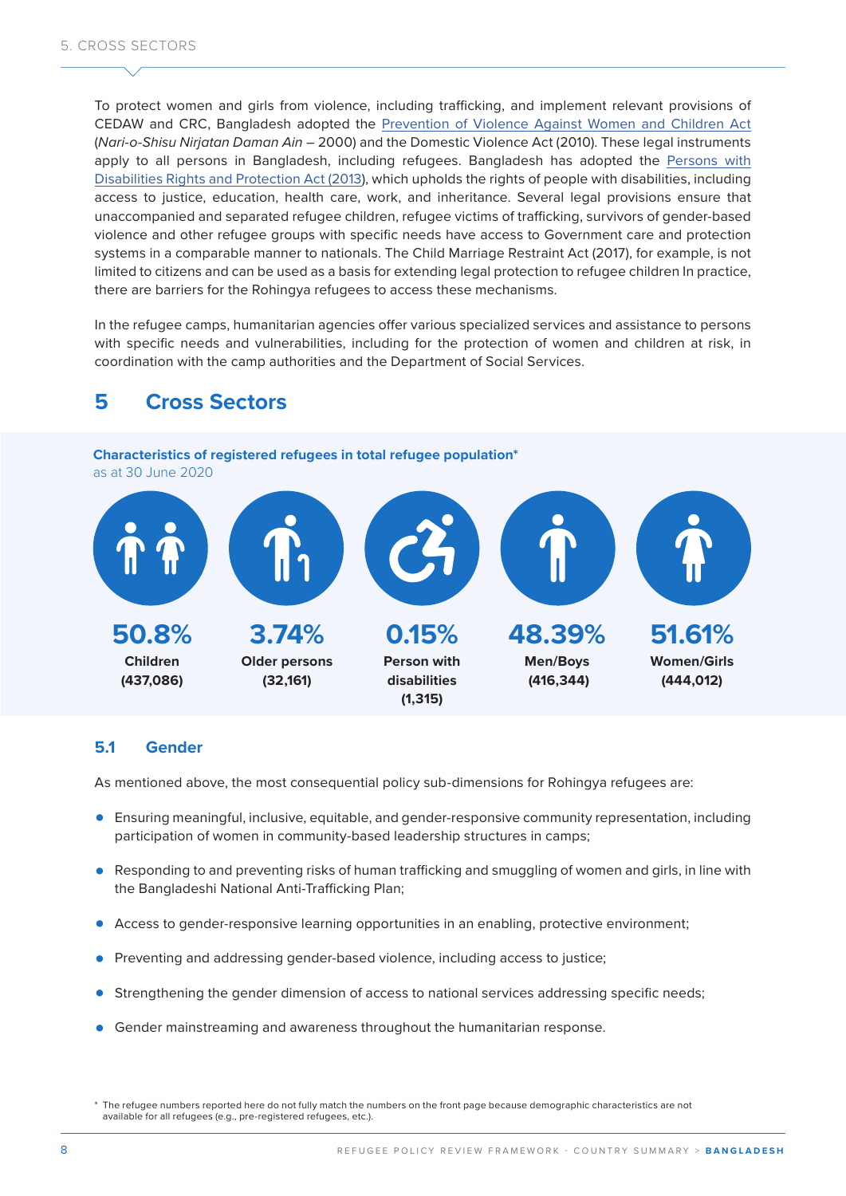To protect women and girls from violence, including trafficking, and implement relevant provisions of CEDAW and CRC, Bangladesh adopted the [Prevention of Violence Against Women and Children Act](http://bdlaws.minlaw.gov.bd/act-details-835.html)  (*Nari-o-Shisu Nirjatan Daman Ain* – 2000) and the Domestic Violence Act (2010). These legal instruments apply to all persons in Bangladesh, including refugees. Bangladesh has adopted the [Persons with](https://www.ilo.org/dyn/natlex/natlex4.detail?p_lang=en&p_isn=95795&p_count=18&p_classification=08)  [Disabilities Rights and Protection Act \(2013\)](https://www.ilo.org/dyn/natlex/natlex4.detail?p_lang=en&p_isn=95795&p_count=18&p_classification=08), which upholds the rights of people with disabilities, including access to justice, education, health care, work, and inheritance. Several legal provisions ensure that unaccompanied and separated refugee children, refugee victims of trafficking, survivors of gender-based violence and other refugee groups with specific needs have access to Government care and protection systems in a comparable manner to nationals. The Child Marriage Restraint Act (2017), for example, is not limited to citizens and can be used as a basis for extending legal protection to refugee children In practice, there are barriers for the Rohingya refugees to access these mechanisms.

In the refugee camps, humanitarian agencies offer various specialized services and assistance to persons with specific needs and vulnerabilities, including for the protection of women and children at risk, in coordination with the camp authorities and the Department of Social Services.

### **5 Cross Sectors**

**Characteristics of registered refugees in total refugee population\***  as at 30 June 2020



#### **5.1 Gender**

As mentioned above, the most consequential policy sub-dimensions for Rohingya refugees are:

- **•** Ensuring meaningful, inclusive, equitable, and gender-responsive community representation, including participation of women in community-based leadership structures in camps;
- **•** Responding to and preventing risks of human trafficking and smuggling of women and girls, in line with the Bangladeshi National Anti-Trafficking Plan;
- **•** Access to gender-responsive learning opportunities in an enabling, protective environment;
- **•** Preventing and addressing gender-based violence, including access to justice;
- **•** Strengthening the gender dimension of access to national services addressing specific needs;
- **•** Gender mainstreaming and awareness throughout the humanitarian response.

<sup>\*</sup> The refugee numbers reported here do not fully match the numbers on the front page because demographic characteristics are not available for all refugees (e.g., pre-registered refugees, etc.).